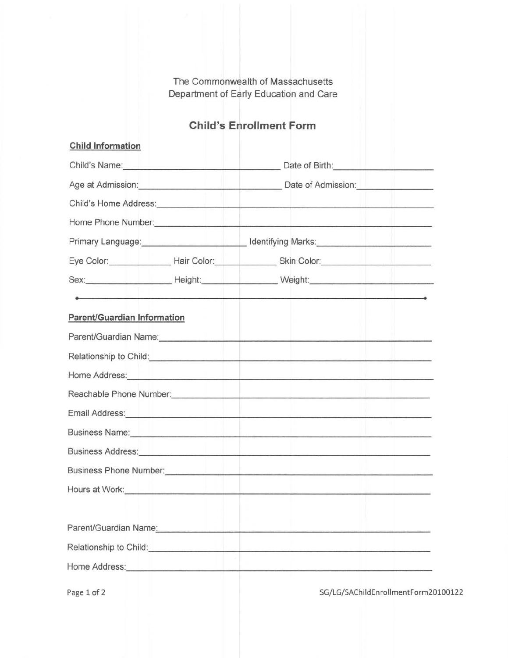The Commonwealth of Massachusetts Department of Early Education and Care

# Child's Enrollment Form

| <b>Child Information</b>           |                                                                                                                                                                                                                                      |
|------------------------------------|--------------------------------------------------------------------------------------------------------------------------------------------------------------------------------------------------------------------------------------|
|                                    | Child's Name: <u>Child's Name:</u> Child's Name: Child's Name: Child's Name: Child's Name: Child's Name: Child: Child                                                                                                                |
|                                    | Age at Admission: <u>Date of Admission:</u> Date of Admission:                                                                                                                                                                       |
|                                    | Child's Home Address: <u>Andress Service and American Scholars and American Scholars and American Scholars and American Scholars and American Scholars and American Scholars and American Scholars and American Scholars and Ame</u> |
|                                    | Home Phone Number: <u>Alexander and the second of the second second second second second second second second second second second second second second second second second second second second second second second second se</u> |
|                                    | Primary Language: <b>Market Accord Contract Contract Accord Contract Contract Accord Contract Contract Contract Contract Contract Contract Contract Contract Contract Contract Contract Contract Contract Contract Contract Cont</b> |
|                                    | Eye Color: __________________Hair Color: ___________________Skin Color: ____________________________                                                                                                                                 |
|                                    |                                                                                                                                                                                                                                      |
|                                    |                                                                                                                                                                                                                                      |
| <b>Parent/Guardian Information</b> |                                                                                                                                                                                                                                      |
|                                    | Parent/Guardian Name: <b>Market According to the Contract of According to the Contract Office According to the Contract Office According to the Contract of According to the Contract of According to the Contract of According </b> |
|                                    | Relationship to Child:<br><u> Relationship</u> to Child:                                                                                                                                                                             |
|                                    | Home Address: <u>Alexander and Alexander and Alexander and Alexander and Alexander and Alexander and Alexander</u>                                                                                                                   |
|                                    | Reachable Phone Number: New York State And The Contract of the Contract of the Contract of the Contract of the                                                                                                                       |
|                                    |                                                                                                                                                                                                                                      |
|                                    | Business Name: <u>Andrea Alexander and Alexander and Alexander and Alexander and Alexander and Alexander and Alexander</u>                                                                                                           |
|                                    |                                                                                                                                                                                                                                      |
|                                    |                                                                                                                                                                                                                                      |
|                                    |                                                                                                                                                                                                                                      |
|                                    |                                                                                                                                                                                                                                      |
|                                    | Relationship to Child: <u>Child: Child: Child: Child: Child: Child: Child: Child: Child: Child: Child: Child: Child: Child: Child: Child: Child: Child: Child: Child: Child: Child: Child: Child: Child: Child: Child: Child: Ch</u> |
|                                    |                                                                                                                                                                                                                                      |
|                                    |                                                                                                                                                                                                                                      |

Page 1 of 2 SG/LG/SAChild EnrollmentForm20100122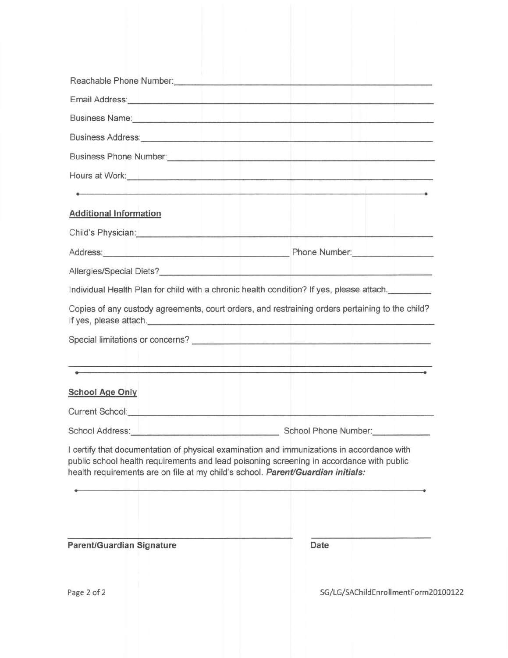| Reachable Phone Number: <b>All Accords</b> Contained by the Contact of the Contact of the Contact of the Contact of the Contact of the Contact of the Contact of the Contact of the Contact of the Contact of the Contact of the Co  |                                                                                                                                                                                                                                |
|--------------------------------------------------------------------------------------------------------------------------------------------------------------------------------------------------------------------------------------|--------------------------------------------------------------------------------------------------------------------------------------------------------------------------------------------------------------------------------|
|                                                                                                                                                                                                                                      | Email Address: No. 2006. The Contract of the Contract of the Contract of the Contract of the Contract of the Contract of the Contract of the Contract of the Contract of the Contract of the Contract of the Contract of the C |
|                                                                                                                                                                                                                                      |                                                                                                                                                                                                                                |
|                                                                                                                                                                                                                                      | Business Address: New York Process Address: New York Process Address: New York Process Address: New York Process Address: New York Process Address: New York Process Address: New York Process Address: New York Process Addre |
|                                                                                                                                                                                                                                      |                                                                                                                                                                                                                                |
|                                                                                                                                                                                                                                      |                                                                                                                                                                                                                                |
| <u> 1980 - James Andrewski, amerikansk matematik</u>                                                                                                                                                                                 |                                                                                                                                                                                                                                |
| <b>Additional Information</b>                                                                                                                                                                                                        |                                                                                                                                                                                                                                |
| Child's Physician: <b>All and Science Child's Physician:</b>                                                                                                                                                                         |                                                                                                                                                                                                                                |
|                                                                                                                                                                                                                                      | Address: Phone Number: Phone Number:                                                                                                                                                                                           |
|                                                                                                                                                                                                                                      |                                                                                                                                                                                                                                |
|                                                                                                                                                                                                                                      | Individual Health Plan for child with a chronic health condition? If yes, please attach.                                                                                                                                       |
|                                                                                                                                                                                                                                      | Copies of any custody agreements, court orders, and restraining orders pertaining to the child?                                                                                                                                |
| of the company of the company of the company of the company of the company of the company of the company of the                                                                                                                      | متعطيات والمتواصل والمساوية وتستحقق والمتعاونة والمتواصل والمستعارف والملايا والمستحدث والمتواصل والمتحدث                                                                                                                      |
| <b>School Age Only</b>                                                                                                                                                                                                               |                                                                                                                                                                                                                                |
| Current School: <u>Andrea School: Andrea School: Andrea School: Andrea School: Andrea School: Andrea School: Andrea School: Andrea School: Andrea School: Andrea School: Andrea School: Andrea School: Andrea School: Andrea Sch</u> |                                                                                                                                                                                                                                |
|                                                                                                                                                                                                                                      | School Address: New York Contract Contract School Phone Number: New York Contract Contract Contract Contract Contract Contract Contract Contract Contract Contract Contract Contract Contract Contract Contract Contract Contr |
| health requirements are on file at my child's school. Parent/Guardian initials:                                                                                                                                                      | l certify that documentation of physical examination and immunizations in accordance with<br>public school health requirements and lead poisoning screening in accordance with public                                          |
| Parent/Guardian Signature                                                                                                                                                                                                            | Date                                                                                                                                                                                                                           |

Page 2 of 2 SG/LG/SAChild Enroll mentForm 20100122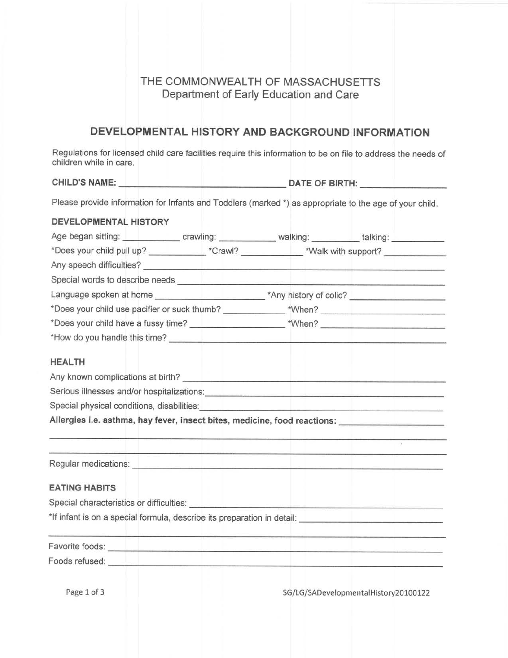## THE COMMONWEALTH OF MASSACHUSETTS Department of Early Education and Care

# DEVELOPMENTAL HISTORY AND BACKGROUND INFORMATION

Regulations for licensed child care facilities require this information to be on file to address the needs of children while in care.

CHILD'S NAME: DATE OF BIRTH:

Please provide information for Infants and Toddlers (marked \*) as appropriate to the age of your child.

| DEVELOPMENTAL HISTORY                                                                                                                                                                                                                 |                                                                                                                         |                                           |                                      |  |
|---------------------------------------------------------------------------------------------------------------------------------------------------------------------------------------------------------------------------------------|-------------------------------------------------------------------------------------------------------------------------|-------------------------------------------|--------------------------------------|--|
| Age began sitting: <u>New York: Charles and State and State and State and State and State and State and State and State and State and State and State and State and State and State and State and State and State and State and </u>  |                                                                                                                         |                                           |                                      |  |
| *Does your child pull up? _____________*Crawl? ______________*Walk with support? __________________                                                                                                                                   |                                                                                                                         |                                           |                                      |  |
|                                                                                                                                                                                                                                       |                                                                                                                         |                                           |                                      |  |
|                                                                                                                                                                                                                                       |                                                                                                                         |                                           |                                      |  |
|                                                                                                                                                                                                                                       |                                                                                                                         |                                           |                                      |  |
|                                                                                                                                                                                                                                       |                                                                                                                         |                                           |                                      |  |
|                                                                                                                                                                                                                                       |                                                                                                                         |                                           |                                      |  |
| *How do you handle this time?<br><u> and</u> the second term of the second term of the second term of the second term of the second term of the second term of the second term of the second term of the second term of the second te |                                                                                                                         |                                           |                                      |  |
| <b>HEALTH</b>                                                                                                                                                                                                                         |                                                                                                                         |                                           |                                      |  |
|                                                                                                                                                                                                                                       |                                                                                                                         |                                           |                                      |  |
| Serious illnesses and/or hospitalizations: <b>contract and all the contract of the contract of the contract of the contract of the contract of the contract of the contract of the contract of the contract of the contract of t</b>  |                                                                                                                         |                                           |                                      |  |
| Special physical conditions, disabilities: <b>with the conditional conditions of the conditions</b>                                                                                                                                   |                                                                                                                         |                                           |                                      |  |
| Allergies i.e. asthma, hay fever, insect bites, medicine, food reactions: _________________________                                                                                                                                   |                                                                                                                         |                                           |                                      |  |
|                                                                                                                                                                                                                                       |                                                                                                                         |                                           |                                      |  |
| Regular medications: <u>substantial and the contract of the contract of the contract of the contract of the contract of</u>                                                                                                           |                                                                                                                         | mentana pikkatan sebagai kalimatan di kal |                                      |  |
| <b>EATING HABITS</b>                                                                                                                                                                                                                  |                                                                                                                         |                                           |                                      |  |
| Special characteristics or difficulties: <b>contained a set of the contact of the contact of the contact of the contact of the contact of the contact of the contact of the contact of the contact of the contact of the contact</b>  |                                                                                                                         |                                           |                                      |  |
| *If infant is on a special formula, describe its preparation in detail: \\esparation in detail:                                                                                                                                       |                                                                                                                         |                                           |                                      |  |
| Favorite foods: <u>Andrea Barbara and The Contractors and The Contractors and The Contractors and The Contractors and The Contractors and The Contractors and The Contractors and The Contractors and The Contractors and The Co</u>  | the company of the company of the company of the company of the company of the company of the company of the company of |                                           |                                      |  |
| Foods refused: <u>Andrea Barbara and The Barbara and The Barbara and The Barbara and The Barbara and The Barbara and The Barbara and The Barbara and The Barbara and The Barbara and The Barbara and The Barbara and The Barbara</u>  |                                                                                                                         |                                           |                                      |  |
| Page 1 of 3                                                                                                                                                                                                                           |                                                                                                                         |                                           | SG/LG/SADevelopmentalHistory20100122 |  |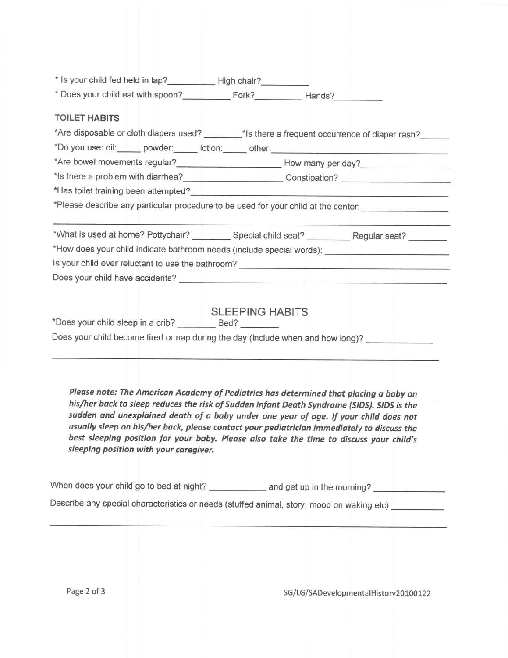| <b>TOILET HABITS</b>                                                                                                                                                                                                            |                                                                                                                                                                                                                                                                                                                                                                                                                                                                      |
|---------------------------------------------------------------------------------------------------------------------------------------------------------------------------------------------------------------------------------|----------------------------------------------------------------------------------------------------------------------------------------------------------------------------------------------------------------------------------------------------------------------------------------------------------------------------------------------------------------------------------------------------------------------------------------------------------------------|
|                                                                                                                                                                                                                                 |                                                                                                                                                                                                                                                                                                                                                                                                                                                                      |
|                                                                                                                                                                                                                                 | *Are disposable or cloth diapers used? ________*Is there a frequent occurrence of diaper rash?                                                                                                                                                                                                                                                                                                                                                                       |
|                                                                                                                                                                                                                                 |                                                                                                                                                                                                                                                                                                                                                                                                                                                                      |
|                                                                                                                                                                                                                                 |                                                                                                                                                                                                                                                                                                                                                                                                                                                                      |
|                                                                                                                                                                                                                                 | *Is there a problem with diarrhea?______________________________Constipation? ______________________                                                                                                                                                                                                                                                                                                                                                                 |
| *Has toilet training been attempted?<br>The manufacturer of the contract of the contract of the contract of the contract of the contract of the contract of the contract of the contract of the contract of the contract of the |                                                                                                                                                                                                                                                                                                                                                                                                                                                                      |
|                                                                                                                                                                                                                                 | *Please describe any particular procedure to be used for your child at the center:                                                                                                                                                                                                                                                                                                                                                                                   |
|                                                                                                                                                                                                                                 | *What is used at home? Pottychair? Special child seat? __________________________                                                                                                                                                                                                                                                                                                                                                                                    |
|                                                                                                                                                                                                                                 |                                                                                                                                                                                                                                                                                                                                                                                                                                                                      |
|                                                                                                                                                                                                                                 |                                                                                                                                                                                                                                                                                                                                                                                                                                                                      |
|                                                                                                                                                                                                                                 |                                                                                                                                                                                                                                                                                                                                                                                                                                                                      |
|                                                                                                                                                                                                                                 | Does your child become tired or nap during the day (include when and how long)? ___________________                                                                                                                                                                                                                                                                                                                                                                  |
|                                                                                                                                                                                                                                 |                                                                                                                                                                                                                                                                                                                                                                                                                                                                      |
|                                                                                                                                                                                                                                 |                                                                                                                                                                                                                                                                                                                                                                                                                                                                      |
|                                                                                                                                                                                                                                 | Please note: The American Academy of Pediatrics has determined that placing a baby on<br>his/her back to sleep reduces the risk of Sudden Infant Death Syndrome (SIDS). SIDS is the<br>sudden and unexplained death of a baby under one year of age. If your child does not<br>usually sleep on his/her back, please contact your pediatrician immediately to discuss the<br>best sleeping position for your baby. Please also take the time to discuss your child's |
| sleeping position with your caregiver.                                                                                                                                                                                          |                                                                                                                                                                                                                                                                                                                                                                                                                                                                      |
|                                                                                                                                                                                                                                 | When does your child go to bed at night? _____________ and get up in the morning? _____________<br>Describe any special characteristics or needs (stuffed animal, story, mood on waking etc) _________                                                                                                                                                                                                                                                               |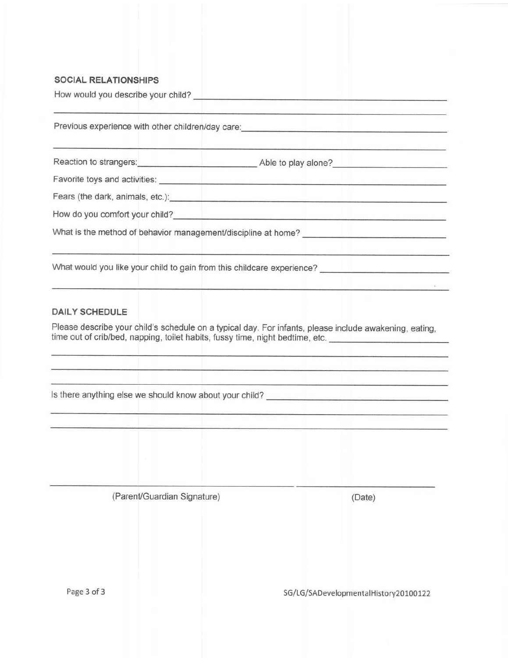#### SOGIAL RELATIONSHIPS

How would you describe your child?

Previous experience with other children/day care: **Example 2018** 

Reaction to strangers: <u>contract and a set of the strangers</u> Able to play alone?

Favorite toys and activities: **contained a set of the set of the set of the set of the set of the set of the set of the set of the set of the set of the set of the set of the set of the set of the set of the set of the set** 

Fears (the dark, animals, etc.): **All and the set of the dark**, animals, etc.):

How do you comfort your child?<br>
<u>
How do you comfort your child?</u>

What is the method of behavior management/discipline at home?

What would you like your child to gain from this childcare experience?

#### DAILY SCHEDULE

Please describe your child's schedule on a typical day. For infants, please include awakening, eating, time out of crib/bed, napping, toilet habits, fussy time, night bedtime, etc.

ls there anything else we should know about your child?

(Parent/Guardian Signature) (Date)

Page 3 of 3 SG/LG/SADevelopmentalHistory20100122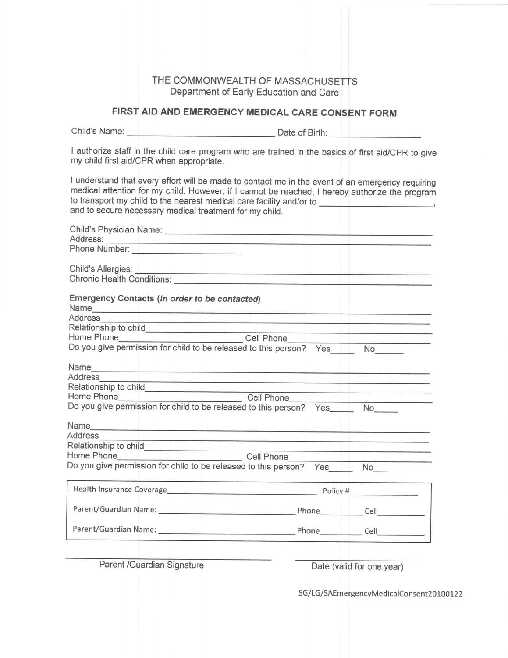#### THE COMMONWEALTH OF MASSACHUSETTS Department of Early Education and Care

### FIRST AID AND EMERGENCY MEDICAL CARE CONSENT FORM

Child's Name: <u>Date of Birth:</u>

I authorize staff in the child care program who are trained in the basics of first aid/CPR to give my child first aid/CPR when appropriate.

I understand that every effort will be made to contact me in the event of an emergency requiring medical attention for my child. However, if I cannot be reached, I hereby authorize the program to transport my child to the nearest medical care facility and/or to \_\_\_\_\_\_ and to secure necessary medical treatment for my child.

| Phone Number: <u>In the Community of the Community of the Community of the Community of the Community of the Community of the Community of the Community of the Community of the Community of the Community of the Community of </u>            |  |
|-------------------------------------------------------------------------------------------------------------------------------------------------------------------------------------------------------------------------------------------------|--|
|                                                                                                                                                                                                                                                 |  |
| Child's Allergies:<br>Chronic Health Conditions:                                                                                                                                                                                                |  |
| Emergency Contacts (In order to be contacted)                                                                                                                                                                                                   |  |
| Address<br><u>pelegraphic property and the contract of the contract of the contract of the contract of the contract of the contract of the contract of the contract of the contract of the contract of the contract of the contract of the </u> |  |
|                                                                                                                                                                                                                                                 |  |
|                                                                                                                                                                                                                                                 |  |
| Relationship to child<br>Home Phone Cell Phone<br>Do you give permission for child to be released to this person? Yes No                                                                                                                        |  |
|                                                                                                                                                                                                                                                 |  |
| Address<br><u>en le marco de concernaciones espectantes de la marco de concerna</u>                                                                                                                                                             |  |
|                                                                                                                                                                                                                                                 |  |
|                                                                                                                                                                                                                                                 |  |
|                                                                                                                                                                                                                                                 |  |
|                                                                                                                                                                                                                                                 |  |
| Address<br>المستحدث والمستحدث المتحدث ومستهته وتماده ومادين                                                                                                                                                                                     |  |
|                                                                                                                                                                                                                                                 |  |
| Home Phone Cell Phone                                                                                                                                                                                                                           |  |
| Do you give permission for child to be released to this person? Yes No                                                                                                                                                                          |  |
|                                                                                                                                                                                                                                                 |  |
|                                                                                                                                                                                                                                                 |  |
|                                                                                                                                                                                                                                                 |  |
|                                                                                                                                                                                                                                                 |  |
|                                                                                                                                                                                                                                                 |  |

Parent /Guardian Signature

Date (valid for one year)

SG/LG/SAEmergencyMedicalConsent20100122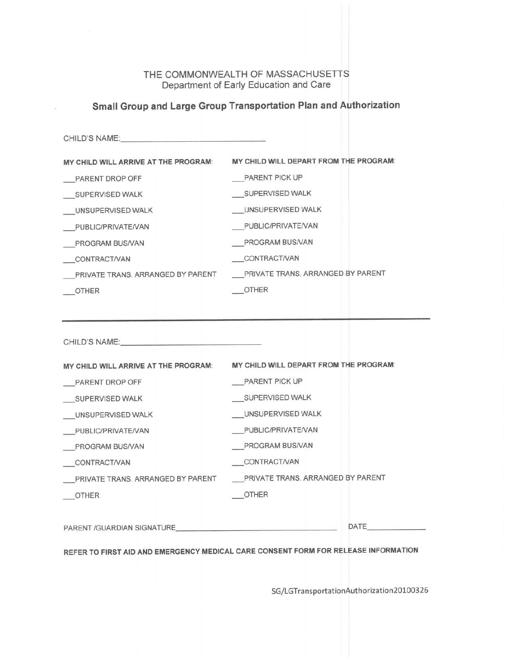#### THE COMMONWEALTH OF MASSACHUSETTS Department of Early Education and Care

## Small Group and Large Group Transportation Plan and Authorization

| CHILD'S NAME: And the contract of the contract of the contract of the contract of the contract of the contract of the contract of the contract of the contract of the contract of the contract of the contract of the contract |                                        |
|--------------------------------------------------------------------------------------------------------------------------------------------------------------------------------------------------------------------------------|----------------------------------------|
| MY CHILD WILL ARRIVE AT THE PROGRAM:                                                                                                                                                                                           | MY CHILD WILL DEPART FROM THE PROGRAM: |
| PARENT DROP OFF                                                                                                                                                                                                                | <b>PARENT PICK UP</b>                  |
| SUPERVISED WALK                                                                                                                                                                                                                | SUPERVISED WALK                        |
| UNSUPERVISED WALK                                                                                                                                                                                                              | UNSUPERVISED WALK                      |
| PUBLIC/PRIVATE/VAN                                                                                                                                                                                                             | PUBLIC/PRIVATE/VAN                     |
| PROGRAM BUS/VAN                                                                                                                                                                                                                | PROGRAM BUS/VAN                        |
| <b>CONTRACT/VAN</b>                                                                                                                                                                                                            | CONTRACT/VAN                           |
| PRIVATE TRANS. ARRANGED BY PARENT                                                                                                                                                                                              | PRIVATE TRANS. ARRANGED BY PARENT      |
| OTHER                                                                                                                                                                                                                          | OTHER                                  |
|                                                                                                                                                                                                                                |                                        |
| CHILD'S NAME: And the contract of the contract of the contract of the contract of the contract of the contract of the contract of the contract of the contract of the contract of the contract of the contract of the contract |                                        |
| MY CHILD WILL ARRIVE AT THE PROGRAM:                                                                                                                                                                                           | MY CHILD WILL DEPART FROM THE PROGRAM: |
| PARENT DROP OFF                                                                                                                                                                                                                | PARENT PICK UP                         |
| SUPERVISED WALK                                                                                                                                                                                                                | SUPERVISED WALK                        |
| UNSUPERVISED WALK                                                                                                                                                                                                              | UNSUPERVISED WALK                      |
| PUBLIC/PRIVATE/VAN                                                                                                                                                                                                             | PUBLIC/PRIVATE/VAN                     |
| PROGRAM BUS/VAN                                                                                                                                                                                                                | PROGRAM BUS/VAN                        |
| ___CONTRACT/VAN                                                                                                                                                                                                                | <b>CONTRACT/VAN</b>                    |
| PRIVATE TRANS. ARRANGED BY PARENT                                                                                                                                                                                              | PRIVATE TRANS. ARRANGED BY PARENT      |
| <b>OTHER</b>                                                                                                                                                                                                                   | OTHER                                  |
| PARENT /GUARDIAN SIGNATURE                                                                                                                                                                                                     | DATE                                   |

REFER TO FIRST AID AND EMERGENCY MEDICAL CARE CONSENT FORM FOR RELEASE INFORMATION

SG/LGTransportationAuthorization20l 00326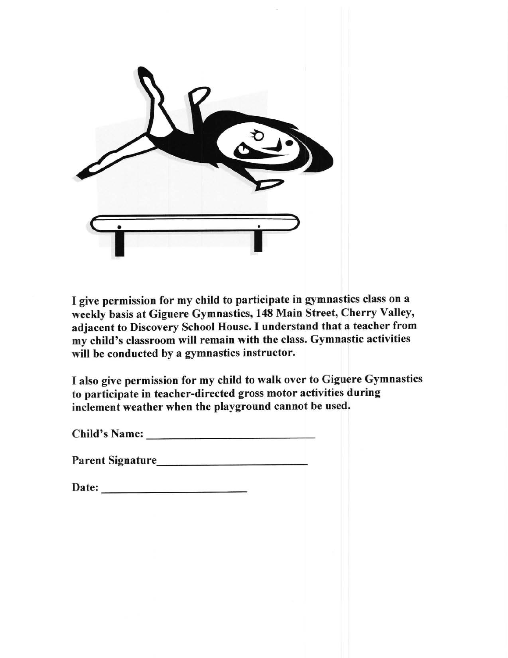

I give permission for my child to participate in gymnastics class on a weekly basis at Giguere Gymnastics, 148 Main Street, Cherry Valley, adjacent to Discovery School House. I understand that a teacher from my child's classroom will remain with the class. Gymnastic activities will be conducted by a gymnastics instructor.

I also give permission for my child to walk over to Giguere Gymnastics to participate in teacher-directed gross motor activities during inclement weather when the playground cannot be used.

Child's Name:

Parent Signature

Date: